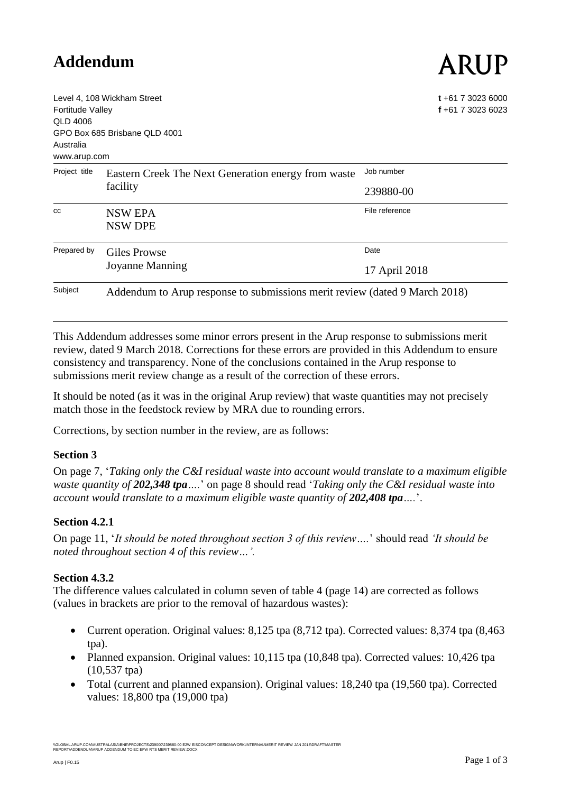# **Addendum**

# ARUP

| <b>Fortitude Valley</b><br>QLD 4006<br>Australia<br>www.arup.com | Level 4, 108 Wickham Street<br>GPO Box 685 Brisbane QLD 4001               | $t + 61$ 7 3023 6000<br>f +61 7 3023 6023 |  |
|------------------------------------------------------------------|----------------------------------------------------------------------------|-------------------------------------------|--|
| Project title                                                    | Eastern Creek The Next Generation energy from waste<br>facility            | Job number                                |  |
|                                                                  |                                                                            | 239880-00                                 |  |
| CC                                                               | <b>NSW EPA</b><br><b>NSW DPE</b>                                           | File reference                            |  |
| Prepared by                                                      | Giles Prowse<br><b>Joyanne Manning</b>                                     | Date                                      |  |
|                                                                  |                                                                            | 17 April 2018                             |  |
| Subject                                                          | Addendum to Arup response to submissions merit review (dated 9 March 2018) |                                           |  |

This Addendum addresses some minor errors present in the Arup response to submissions merit review, dated 9 March 2018. Corrections for these errors are provided in this Addendum to ensure consistency and transparency. None of the conclusions contained in the Arup response to submissions merit review change as a result of the correction of these errors.

It should be noted (as it was in the original Arup review) that waste quantities may not precisely match those in the feedstock review by MRA due to rounding errors.

Corrections, by section number in the review, are as follows:

#### **Section 3**

On page 7, '*Taking only the C&I residual waste into account would translate to a maximum eligible waste quantity of 202,348 tpa….*' on page 8 should read '*Taking only the C&I residual waste into account would translate to a maximum eligible waste quantity of 202,408 tpa....*'.

#### **Section 4.2.1**

On page 11, '*It should be noted throughout section 3 of this review….*' should read *'It should be noted throughout section 4 of this review…'.*

#### **Section 4.3.2**

The difference values calculated in column seven of table 4 (page 14) are corrected as follows (values in brackets are prior to the removal of hazardous wastes):

- Current operation. Original values: 8,125 tpa (8,712 tpa). Corrected values: 8,374 tpa (8,463 tpa).
- Planned expansion. Original values: 10,115 tpa (10,848 tpa). Corrected values: 10,426 tpa (10,537 tpa)
- Total (current and planned expansion). Original values: 18,240 tpa (19,560 tpa). Corrected values: 18,800 tpa (19,000 tpa)

\\GLOBAL.ARUP.COMAUSTRALASIA\BNE\PROJECTS\239000\239880-00 E2W EISCONCEPT DESIGN\WORK\INTERNAL\MERIT REVIEW JAN 2018\DRAFT\MASTER<br>REPORT\ADDENDUM\ARUP ADDENDUM TO EC EFW RTS MERIT REVIEW.DOCX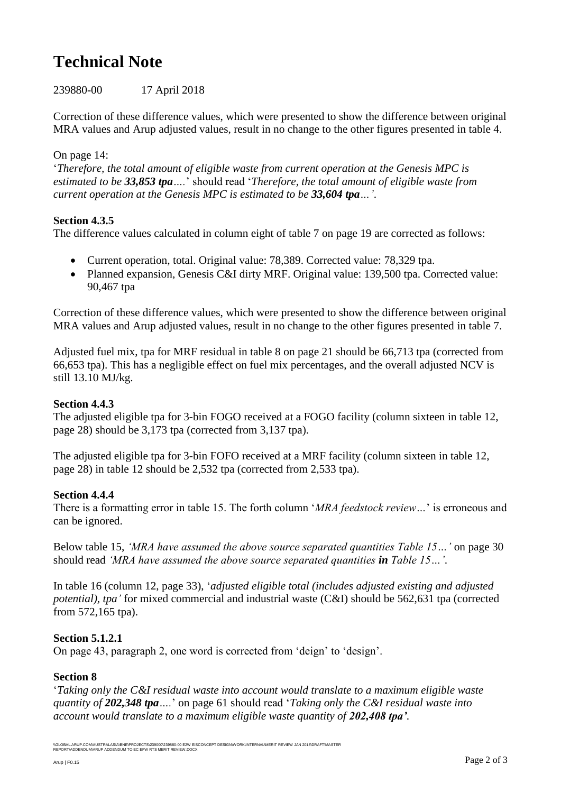# **Technical Note**

239880-00 17 April 2018

Correction of these difference values, which were presented to show the difference between original MRA values and Arup adjusted values, result in no change to the other figures presented in table 4.

### On page 14:

'*Therefore, the total amount of eligible waste from current operation at the Genesis MPC is estimated to be 33,853 tpa….*' should read '*Therefore, the total amount of eligible waste from current operation at the Genesis MPC is estimated to be 33,604 tpa…'*.

#### **Section 4.3.5**

The difference values calculated in column eight of table 7 on page 19 are corrected as follows:

- Current operation, total. Original value: 78,389. Corrected value: 78,329 tpa.
- Planned expansion, Genesis C&I dirty MRF. Original value: 139,500 tpa. Corrected value: 90,467 tpa

Correction of these difference values, which were presented to show the difference between original MRA values and Arup adjusted values, result in no change to the other figures presented in table 7.

Adjusted fuel mix, tpa for MRF residual in table 8 on page 21 should be 66,713 tpa (corrected from 66,653 tpa). This has a negligible effect on fuel mix percentages, and the overall adjusted NCV is still 13.10 MJ/kg.

#### **Section 4.4.3**

The adjusted eligible tpa for 3-bin FOGO received at a FOGO facility (column sixteen in table 12, page 28) should be 3,173 tpa (corrected from 3,137 tpa).

The adjusted eligible tpa for 3-bin FOFO received at a MRF facility (column sixteen in table 12, page 28) in table 12 should be 2,532 tpa (corrected from 2,533 tpa).

#### **Section 4.4.4**

There is a formatting error in table 15. The forth column '*MRA feedstock review…*' is erroneous and can be ignored.

Below table 15, *'MRA have assumed the above source separated quantities Table 15…'* on page 30 should read *'MRA have assumed the above source separated quantities in Table 15…'*.

In table 16 (column 12, page 33), '*adjusted eligible total (includes adjusted existing and adjusted potential), tpa'* for mixed commercial and industrial waste (C&I) should be 562,631 tpa (corrected from 572,165 tpa).

## **Section 5.1.2.1**

On page 43, paragraph 2, one word is corrected from 'deign' to 'design'.

#### **Section 8**

'*Taking only the C&I residual waste into account would translate to a maximum eligible waste quantity of 202,348 tpa….*' on page 61 should read '*Taking only the C&I residual waste into account would translate to a maximum eligible waste quantity of 202,408 tpa'.*

\\GLOBAL.ARUP.COMAUSTRALASIA\BNE\PROJECTS\239000\239880-00 E2W EISCONCEPT DESIGN\WORK\INTERNAL\MERIT REVIEW JAN 2018\DRAFT\MASTER<br>REPORT\ADDENDUM\ARUP ADDENDUM TO EC EFW RTS MERIT REVIEW.DOCX